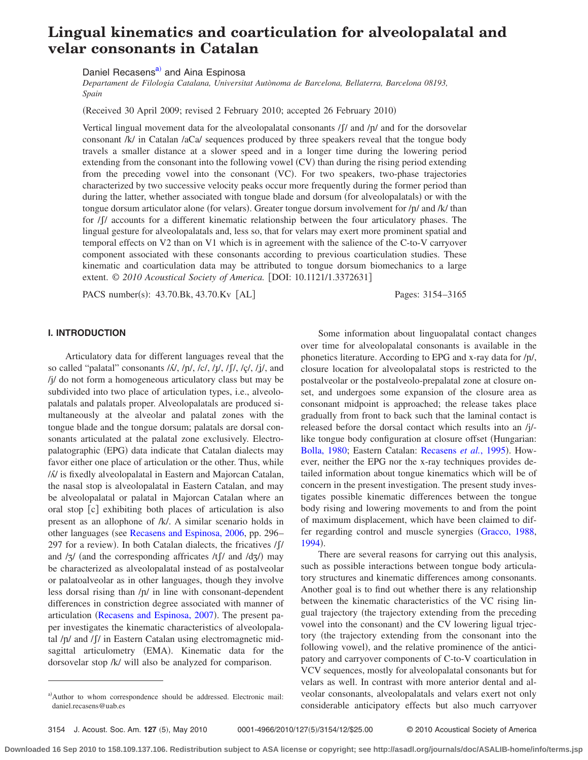# **Lingual kinematics and coarticulation for alveolopalatal and velar consonants in Catalan**

Daniel Recasens<sup>a)</sup> and Aina Espino[sa](#page-0-0)

*Departament de Filologia Catalana, Universitat Autònoma de Barcelona, Bellaterra, Barcelona 08193, Spain*

(Received 30 April 2009; revised 2 February 2010; accepted 26 February 2010)

Vertical lingual movement data for the alveolopalatal consonants /ʃ/ and /F/ and for the dorsovelar consonant /k/ in Catalan /aCa/ sequences produced by three speakers reveal that the tongue body travels a smaller distance at a slower speed and in a longer time during the lowering period extending from the consonant into the following vowel (CV) than during the rising period extending from the preceding vowel into the consonant (VC). For two speakers, two-phase trajectories characterized by two successive velocity peaks occur more frequently during the former period than during the latter, whether associated with tongue blade and dorsum (for alveolopalatals) or with the tongue dorsum articulator alone (for velars). Greater tongue dorsum involvement for /p/ and /k/ than for /ʃ/ accounts for a different kinematic relationship between the four articulatory phases. The lingual gesture for alveolopalatals and, less so, that for velars may exert more prominent spatial and temporal effects on V2 than on V1 which is in agreement with the salience of the C-to-V carryover component associated with these consonants according to previous coarticulation studies. These kinematic and coarticulation data may be attributed to tongue dorsum biomechanics to a large extent. © 2010 Acoustical Society of America. [DOI: 10.1121/1.3372631]

PACS number(s): 43.70.Bk, 43.70.Kv [AL] Pages: 3154–3165

# **I. INTRODUCTION**

Articulatory data for different languages reveal that the so called "palatal" consonants  $/K/$ ,  $/pi/$ ,  $/c/$ ,  $/pi/$ ,  $/(\sqrt{c}/$ ,  $/pi/$ , and /j/ do not form a homogeneous articulatory class but may be subdivided into two place of articulation types, i.e., alveolopalatals and palatals proper. Alveolopalatals are produced simultaneously at the alveolar and palatal zones with the tongue blade and the tongue dorsum; palatals are dorsal consonants articulated at the palatal zone exclusively. Electropalatographic (EPG) data indicate that Catalan dialects may favor either one place of articulation or the other. Thus, while /R/ is fixedly alveolopalatal in Eastern and Majorcan Catalan, the nasal stop is alveolopalatal in Eastern Catalan, and may be alveolopalatal or palatal in Majorcan Catalan where an oral stop  $[c]$  exhibiting both places of articulation is also present as an allophone of /k/. A similar scenario holds in other languages (see [Recasens and Espinosa, 2006,](#page-11-0) pp. 296– 297 for a review). In both Catalan dialects, the fricatives  $\int f$ and  $\frac{1}{3}$  (and the corresponding affricates  $\frac{1}{3}$  and  $\frac{1}{3}$ ) may be characterized as alveolopalatal instead of as postalveolar or palatoalveolar as in other languages, though they involve less dorsal rising than  $/p/$  in line with consonant-dependent differences in constriction degree associated with manner of articulation ([Recasens and Espinosa, 2007](#page-11-1)). The present paper investigates the kinematic characteristics of alveolopalatal  $/p$  and  $/f$  in Eastern Catalan using electromagnetic midsagittal articulometry (EMA). Kinematic data for the dorsovelar stop /k/ will also be analyzed for comparison.

Some information about linguopalatal contact changes over time for alveolopalatal consonants is available in the phonetics literature. According to EPG and x-ray data for /p/, closure location for alveolopalatal stops is restricted to the postalveolar or the postalveolo-prepalatal zone at closure onset, and undergoes some expansion of the closure area as consonant midpoint is approached; the release takes place gradually from front to back such that the laminal contact is released before the dorsal contact which results into an /j/ like tongue body configuration at closure offset (Hungarian: [Bolla, 1980;](#page-10-0) Eastern Catalan: [Recasens](#page-11-2) et al., 1995). However, neither the EPG nor the x-ray techniques provides detailed information about tongue kinematics which will be of concern in the present investigation. The present study investigates possible kinematic differences between the tongue body rising and lowering movements to and from the point of maximum displacement, which have been claimed to differ regarding control and muscle synergies [Gracco, 1988,](#page-10-1) [1994](#page-10-2)).

There are several reasons for carrying out this analysis, such as possible interactions between tongue body articulatory structures and kinematic differences among consonants. Another goal is to find out whether there is any relationship between the kinematic characteristics of the VC rising lingual trajectory (the trajectory extending from the preceding vowel into the consonant) and the CV lowering ligual trjectory the trajectory extending from the consonant into the following vowel), and the relative prominence of the anticipatory and carryover components of C-to-V coarticulation in VCV sequences, mostly for alveolopalatal consonants but for velars as well. In contrast with more anterior dental and alveolar consonants, alveolopalatals and velars exert not only considerable anticipatory effects but also much carryover

**Downloaded 16 Sep 2010 to 158.109.137.106. Redistribution subject to ASA license or copyright; see http://asadl.org/journals/doc/ASALIB-home/info/terms.jsp**

<span id="page-0-0"></span>a)Author to whom correspondence should be addressed. Electronic mail: daniel.recasens@uab.es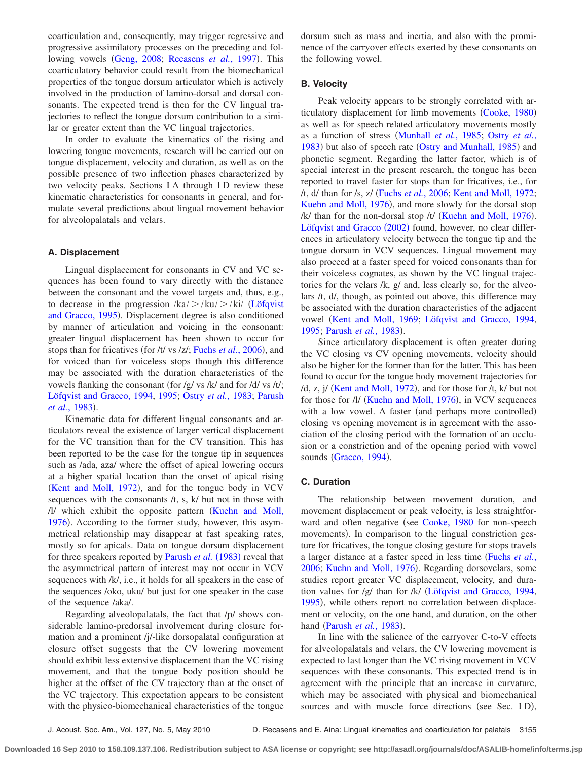coarticulation and, consequently, may trigger regressive and progressive assimilatory processes on the preceding and fol-lowing vowels ([Geng, 2008;](#page-10-3) [Recasens](#page-11-3) *et al.*, 1997). This coarticulatory behavior could result from the biomechanical properties of the tongue dorsum articulator which is actively involved in the production of lamino-dorsal and dorsal consonants. The expected trend is then for the CV lingual trajectories to reflect the tongue dorsum contribution to a similar or greater extent than the VC lingual trajectories.

In order to evaluate the kinematics of the rising and lowering tongue movements, research will be carried out on tongue displacement, velocity and duration, as well as on the possible presence of two inflection phases characterized by two velocity peaks. Sections I A through I D review these kinematic characteristics for consonants in general, and formulate several predictions about lingual movement behavior for alveolopalatals and velars.

## **A. Displacement**

Lingual displacement for consonants in CV and VC sequences has been found to vary directly with the distance between the consonant and the vowel targets and, thus, e.g., to decrease in the progression  $/ka$  /  $k$ u/  $>$  /ki/ ([Löfqvist](#page-10-4) [and Gracco, 1995](#page-10-4)). Displacement degree is also conditioned by manner of articulation and voicing in the consonant: greater lingual displacement has been shown to occur for stops than for fricatives (for /t/ vs /z/; Fuchs *et al.*[, 2006](#page-10-5)), and for voiced than for voiceless stops though this difference may be associated with the duration characteristics of the vowels flanking the consonant (for /g/ vs /k/ and for /d/ vs /t/; [Löfqvist and Gracco, 1994,](#page-10-6) [1995;](#page-10-4) Ostry *et al.*[, 1983;](#page-11-4) [Parush](#page-11-5) *et al.*[, 1983](#page-11-5)).

Kinematic data for different lingual consonants and articulators reveal the existence of larger vertical displacement for the VC transition than for the CV transition. This has been reported to be the case for the tongue tip in sequences such as /ada, aza/ where the offset of apical lowering occurs at a higher spatial location than the onset of apical rising ([Kent and Moll, 1972](#page-10-7)), and for the tongue body in VCV sequences with the consonants /t, s, k/ but not in those with /l/ which exhibit the opposite pattern ([Kuehn and Moll,](#page-10-8) [1976](#page-10-8)). According to the former study, however, this asymmetrical relationship may disappear at fast speaking rates, mostly so for apicals. Data on tongue dorsum displacement for three speakers reported by [Parush](#page-11-5) et al. (1983) reveal that the asymmetrical pattern of interest may not occur in VCV sequences with /k/, i.e., it holds for all speakers in the case of the sequences /oko, uku/ but just for one speaker in the case of the sequence /aka/.

Regarding alveolopalatals, the fact that  $/p/$  shows considerable lamino-predorsal involvement during closure formation and a prominent /j/-like dorsopalatal configuration at closure offset suggests that the CV lowering movement should exhibit less extensive displacement than the VC rising movement, and that the tongue body position should be higher at the offset of the CV trajectory than at the onset of the VC trajectory. This expectation appears to be consistent with the physico-biomechanical characteristics of the tongue

dorsum such as mass and inertia, and also with the prominence of the carryover effects exerted by these consonants on the following vowel.

# **B. Velocity**

Peak velocity appears to be strongly correlated with ar-ticulatory displacement for limb movements ([Cooke, 1980](#page-10-9)) as well as for speech related articulatory movements mostly as a function of stress [Munhall](#page-10-10) *et al.*, 1985; [Ostry](#page-11-4) *et al.*, [1983](#page-11-4)) but also of speech rate ([Ostry and Munhall, 1985](#page-11-6)) and phonetic segment. Regarding the latter factor, which is of special interest in the present research, the tongue has been reported to travel faster for stops than for fricatives, i.e., for /t, d/ than for /s, z/ Fuchs *et al.*[, 2006;](#page-10-5) [Kent and Moll, 1972;](#page-10-7) [Kuehn and Moll, 1976](#page-10-8)), and more slowly for the dorsal stop /k/ than for the non-dorsal stop /t/ ([Kuehn and Moll, 1976](#page-10-8)). [Löfqvist and Gracco](#page-10-11) (2002) found, however, no clear differences in articulatory velocity between the tongue tip and the tongue dorsum in VCV sequences. Lingual movement may also proceed at a faster speed for voiced consonants than for their voiceless cognates, as shown by the VC lingual trajectories for the velars /k, g/ and, less clearly so, for the alveolars /t, d/, though, as pointed out above, this difference may be associated with the duration characteristics of the adjacent vowel [Kent and Moll, 1969;](#page-10-12) [Löfqvist and Gracco, 1994,](#page-10-6) [1995;](#page-10-4) [Parush](#page-11-5) et al., 1983).

Since articulatory displacement is often greater during the VC closing vs CV opening movements, velocity should also be higher for the former than for the latter. This has been found to occur for the tongue body movement trajectories for /d, z, j/ ([Kent and Moll, 1972](#page-10-7)), and for those for /t, k/ but not for those for /l/ ([Kuehn and Moll, 1976](#page-10-8)), in VCV sequences with a low vowel. A faster (and perhaps more controlled) closing vs opening movement is in agreement with the association of the closing period with the formation of an occlusion or a constriction and of the opening period with vowel sounds ([Gracco, 1994](#page-10-2)).

# **C. Duration**

The relationship between movement duration, and movement displacement or peak velocity, is less straightfor-ward and often negative (see [Cooke, 1980](#page-10-9) for non-speech movements). In comparison to the lingual constriction gesture for fricatives, the tongue closing gesture for stops travels a larger distance at a faster speed in less time [Fuchs](#page-10-5) *et al.*, [2006;](#page-10-5) [Kuehn and Moll, 1976](#page-10-8)). Regarding dorsovelars, some studies report greater VC displacement, velocity, and duration values for /g/ than for /k/ [Löfqvist and Gracco, 1994,](#page-10-6) [1995](#page-10-4)), while others report no correlation between displacement or velocity, on the one hand, and duration, on the other hand ([Parush](#page-11-5) et al., 1983).

In line with the salience of the carryover C-to-V effects for alveolopalatals and velars, the CV lowering movement is expected to last longer than the VC rising movement in VCV sequences with these consonants. This expected trend is in agreement with the principle that an increase in curvature, which may be associated with physical and biomechanical sources and with muscle force directions (see Sec. ID),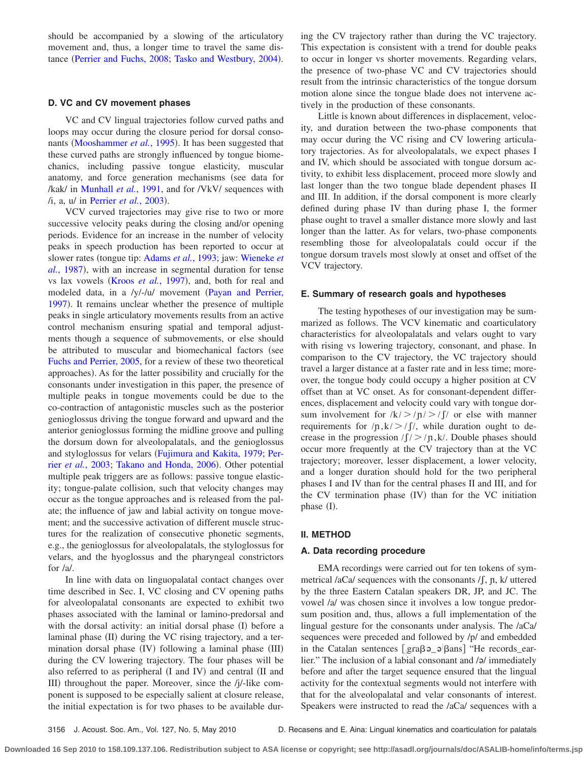should be accompanied by a slowing of the articulatory movement and, thus, a longer time to travel the same dis-tance ([Perrier and Fuchs, 2008;](#page-11-7) [Tasko and Westbury, 2004](#page-11-8)).

#### **D. VC and CV movement phases**

VC and CV lingual trajectories follow curved paths and loops may occur during the closure period for dorsal conso-nants ([Mooshammer](#page-10-13) *et al.*, 1995). It has been suggested that these curved paths are strongly influenced by tongue biomechanics, including passive tongue elasticity, muscular anatomy, and force generation mechanisms (see data for /kak/ in [Munhall](#page-10-14) *et al.*, 1991, and for /VkV/ sequences with /i, a, u/ in [Perrier](#page-11-9) *et al.*, 2003).

VCV curved trajectories may give rise to two or more successive velocity peaks during the closing and/or opening periods. Evidence for an increase in the number of velocity peaks in speech production has been reported to occur at slower rates (tongue tip: [Adams](#page-10-15) *et al.*, 1993; jaw: [Wieneke](#page-11-10) *et* al.[, 1987](#page-11-10)), with an increase in segmental duration for tense vs lax vowels (Kroos *et al.*[, 1997](#page-10-16)), and, both for real and modeled data, in a /y/-/u/ movement ([Payan and Perrier,](#page-11-11) [1997](#page-11-11)). It remains unclear whether the presence of multiple peaks in single articulatory movements results from an active control mechanism ensuring spatial and temporal adjustments though a sequence of submovements, or else should be attributed to muscular and biomechanical factors (see [Fuchs and Perrier, 2005,](#page-10-17) for a review of these two theoretical approaches). As for the latter possibility and crucially for the consonants under investigation in this paper, the presence of multiple peaks in tongue movements could be due to the co-contraction of antagonistic muscles such as the posterior genioglossus driving the tongue forward and upward and the anterior genioglossus forming the midline groove and pulling the dorsum down for alveolopalatals, and the genioglossus and styloglossus for velars ([Fujimura and Kakita, 1979;](#page-10-18) [Per-](#page-11-9)rier et al.[, 2003;](#page-11-9) [Takano and Honda, 2006](#page-11-12)). Other potential multiple peak triggers are as follows: passive tongue elasticity; tongue-palate collision, such that velocity changes may occur as the tongue approaches and is released from the palate; the influence of jaw and labial activity on tongue movement; and the successive activation of different muscle structures for the realization of consecutive phonetic segments, e.g., the genioglossus for alveolopalatals, the styloglossus for velars, and the hyoglossus and the pharyngeal constrictors for /a/.

In line with data on linguopalatal contact changes over time described in Sec. I, VC closing and CV opening paths for alveolopalatal consonants are expected to exhibit two phases associated with the laminal or lamino-predorsal and with the dorsal activity: an initial dorsal phase (I) before a laminal phase (II) during the VC rising trajectory, and a termination dorsal phase (IV) following a laminal phase (III) during the CV lowering trajectory. The four phases will be also referred to as peripheral (I and IV) and central (II and III) throughout the paper. Moreover, since the /j/-like component is supposed to be especially salient at closure release, the initial expectation is for two phases to be available during the CV trajectory rather than during the VC trajectory. This expectation is consistent with a trend for double peaks to occur in longer vs shorter movements. Regarding velars, the presence of two-phase VC and CV trajectories should result from the intrinsic characteristics of the tongue dorsum motion alone since the tongue blade does not intervene actively in the production of these consonants.

Little is known about differences in displacement, velocity, and duration between the two-phase components that may occur during the VC rising and CV lowering articulatory trajectories. As for alveolopalatals, we expect phases I and IV, which should be associated with tongue dorsum activity, to exhibit less displacement, proceed more slowly and last longer than the two tongue blade dependent phases II and III. In addition, if the dorsal component is more clearly defined during phase IV than during phase I, the former phase ought to travel a smaller distance more slowly and last longer than the latter. As for velars, two-phase components resembling those for alveolopalatals could occur if the tongue dorsum travels most slowly at onset and offset of the VCV trajectory.

#### **E. Summary of research goals and hypotheses**

The testing hypotheses of our investigation may be summarized as follows. The VCV kinematic and coarticulatory characteristics for alveolopalatals and velars ought to vary with rising vs lowering trajectory, consonant, and phase. In comparison to the CV trajectory, the VC trajectory should travel a larger distance at a faster rate and in less time; moreover, the tongue body could occupy a higher position at CV offset than at VC onset. As for consonant-dependent differences, displacement and velocity could vary with tongue dorsum involvement for  $/k$  /  $>$  /  $\eta$  /  $>$  /  $\int$  / or else with manner requirements for  $/p, k/$  >  $/f/$ , while duration ought to decrease in the progression  $\sqrt{f}$  /F,k/. Double phases should occur more frequently at the CV trajectory than at the VC trajectory; moreover, lesser displacement, a lower velocity, and a longer duration should hold for the two peripheral phases I and IV than for the central phases II and III, and for the CV termination phase (IV) than for the VC initiation phase (I).

#### **II. METHOD**

#### **A. Data recording procedure**

EMA recordings were carried out for ten tokens of symmetrical /aCa/ sequences with the consonants  $/\int$ ,  $p$ ,  $k$ / uttered by the three Eastern Catalan speakers DR, JP, and JC. The vowel /a/ was chosen since it involves a low tongue predorsum position and, thus, allows a full implementation of the lingual gesture for the consonants under analysis. The /aCa/ sequences were preceded and followed by /p/ and embedded in the Catalan sentences  $[\text{gra}\beta \circ \text{ar}]\text{Bra}$ <sup>"</sup>He records\_earlier." The inclusion of a labial consonant and  $\sqrt{2}$  immediately before and after the target sequence ensured that the lingual activity for the contextual segments would not interfere with that for the alveolopalatal and velar consonants of interest. Speakers were instructed to read the /aCa/ sequences with a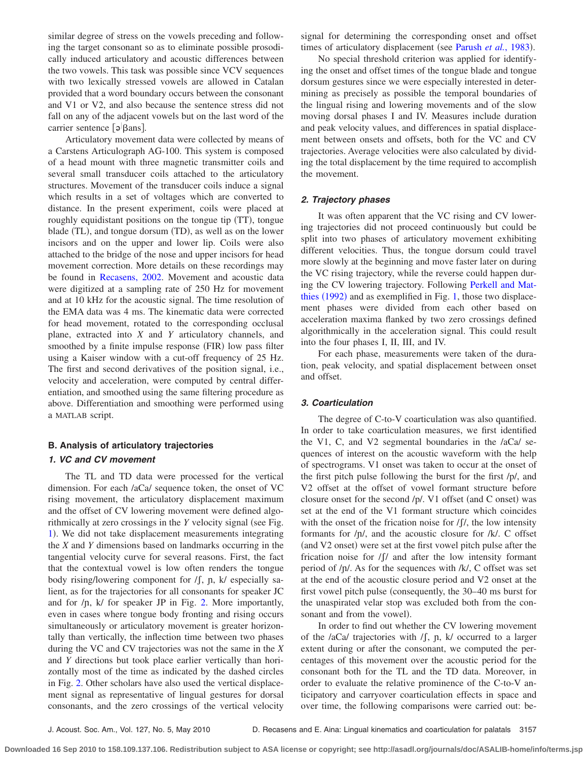similar degree of stress on the vowels preceding and following the target consonant so as to eliminate possible prosodically induced articulatory and acoustic differences between the two vowels. This task was possible since VCV sequences with two lexically stressed vowels are allowed in Catalan provided that a word boundary occurs between the consonant and V1 or V2, and also because the sentence stress did not fall on any of the adjacent vowels but on the last word of the carrier sentence  $\left[\circ\right]$   $\beta$ ans].

Articulatory movement data were collected by means of a Carstens Articulograph AG-100. This system is composed of a head mount with three magnetic transmitter coils and several small transducer coils attached to the articulatory structures. Movement of the transducer coils induce a signal which results in a set of voltages which are converted to distance. In the present experiment, coils were placed at roughly equidistant positions on the tongue tip (TT), tongue blade (TL), and tongue dorsum (TD), as well as on the lower incisors and on the upper and lower lip. Coils were also attached to the bridge of the nose and upper incisors for head movement correction. More details on these recordings may be found in [Recasens, 2002.](#page-11-13) Movement and acoustic data were digitized at a sampling rate of 250 Hz for movement and at 10 kHz for the acoustic signal. The time resolution of the EMA data was 4 ms. The kinematic data were corrected for head movement, rotated to the corresponding occlusal plane, extracted into *X* and *Y* articulatory channels, and smoothed by a finite impulse response (FIR) low pass filter using a Kaiser window with a cut-off frequency of 25 Hz. The first and second derivatives of the position signal, i.e., velocity and acceleration, were computed by central differentiation, and smoothed using the same filtering procedure as above. Differentiation and smoothing were performed using a MATLAB script.

#### **B. Analysis of articulatory trajectories**

# *1. VC and CV movement*

The TL and TD data were processed for the vertical dimension. For each /aCa/ sequence token, the onset of VC rising movement, the articulatory displacement maximum and the offset of CV lowering movement were defined algorithmically at zero crossings in the *Y* velocity signal (see Fig. [1](#page-4-0)). We did not take displacement measurements integrating the *X* and *Y* dimensions based on landmarks occurring in the tangential velocity curve for several reasons. First, the fact that the contextual vowel is low often renders the tongue body rising/lowering component for  $\int$ ,  $p$ ,  $k$  especially salient, as for the trajectories for all consonants for speaker JC and for  $/p$ , k/ for speaker JP in Fig. [2.](#page-5-0) More importantly, even in cases where tongue body fronting and rising occurs simultaneously or articulatory movement is greater horizontally than vertically, the inflection time between two phases during the VC and CV trajectories was not the same in the *X* and *Y* directions but took place earlier vertically than horizontally most of the time as indicated by the dashed circles in Fig. [2.](#page-5-0) Other scholars have also used the vertical displacement signal as representative of lingual gestures for dorsal consonants, and the zero crossings of the vertical velocity signal for determining the corresponding onset and offset times of articulatory displacement (see [Parush](#page-11-5) et al., 1983).

No special threshold criterion was applied for identifying the onset and offset times of the tongue blade and tongue dorsum gestures since we were especially interested in determining as precisely as possible the temporal boundaries of the lingual rising and lowering movements and of the slow moving dorsal phases I and IV. Measures include duration and peak velocity values, and differences in spatial displacement between onsets and offsets, both for the VC and CV trajectories. Average velocities were also calculated by dividing the total displacement by the time required to accomplish the movement.

## *2. Trajectory phases*

It was often apparent that the VC rising and CV lowering trajectories did not proceed continuously but could be split into two phases of articulatory movement exhibiting different velocities. Thus, the tongue dorsum could travel more slowly at the beginning and move faster later on during the VC rising trajectory, while the reverse could happen during the CV lowering trajectory. Following [Perkell and Mat-](#page-11-14)thies ([1992](#page-11-14)) and as exemplified in Fig. [1,](#page-4-0) those two displacement phases were divided from each other based on acceleration maxima flanked by two zero crossings defined algorithmically in the acceleration signal. This could result into the four phases I, II, III, and IV.

For each phase, measurements were taken of the duration, peak velocity, and spatial displacement between onset and offset.

## *3. Coarticulation*

The degree of C-to-V coarticulation was also quantified. In order to take coarticulation measures, we first identified the V1, C, and V2 segmental boundaries in the /aCa/ sequences of interest on the acoustic waveform with the help of spectrograms. V1 onset was taken to occur at the onset of the first pitch pulse following the burst for the first /p/, and V2 offset at the offset of vowel formant structure before closure onset for the second  $/p/$ . V1 offset (and C onset) was set at the end of the V1 formant structure which coincides with the onset of the frication noise for  $/\int$ , the low intensity formants for  $/p/$ , and the acoustic closure for  $/k/$ . C offset (and V2 onset) were set at the first vowel pitch pulse after the frication noise for  $\int \int \int$  and after the low intensity formant period of  $/p$ . As for the sequences with  $/k$ , C offset was set at the end of the acoustic closure period and V2 onset at the first vowel pitch pulse (consequently, the 30–40 ms burst for the unaspirated velar stop was excluded both from the consonant and from the vowel).

In order to find out whether the CV lowering movement of the  $aCa$  trajectories with  $\int$ ,  $p$ ,  $k$  occurred to a larger extent during or after the consonant, we computed the percentages of this movement over the acoustic period for the consonant both for the TL and the TD data. Moreover, in order to evaluate the relative prominence of the C-to-V anticipatory and carryover coarticulation effects in space and over time, the following comparisons were carried out: be-

J. Acoust. Soc. Am., Vol. 127, No. 5, May 2010 D. Recasens and E. Aina: Lingual kinematics and coarticulation for palatals 3157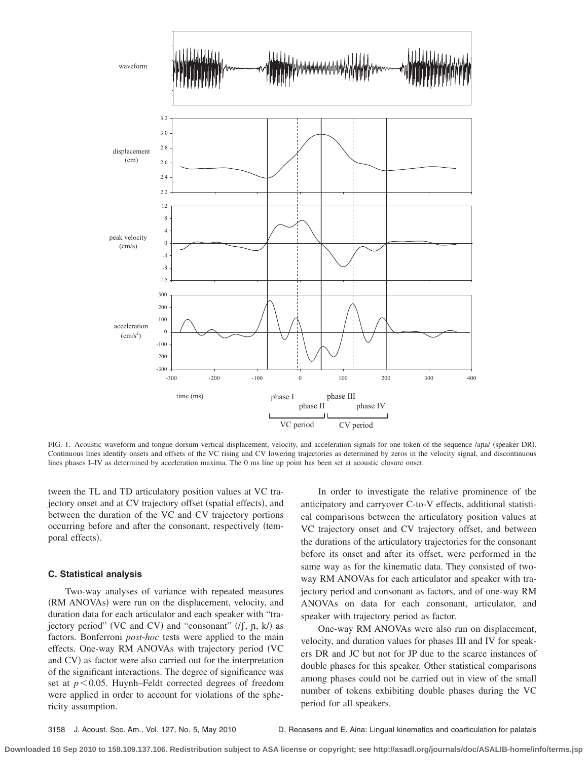<span id="page-4-0"></span>

FIG. 1. Acoustic waveform and tongue dorsum vertical displacement, velocity, and acceleration signals for one token of the sequence /ana/ (speaker DR). Continuous lines identify onsets and offsets of the VC rising and CV lowering trajectories as determined by zeros in the velocity signal, and discontinuous lines phases I–IV as determined by acceleration maxima. The 0 ms line up point has been set at acoustic closure onset.

tween the TL and TD articulatory position values at VC trajectory onset and at CV trajectory offset (spatial effects), and between the duration of the VC and CV trajectory portions occurring before and after the consonant, respectively temporal effects).

## **C. Statistical analysis**

Two-way analyses of variance with repeated measures (RM ANOVAs) were run on the displacement, velocity, and duration data for each articulator and each speaker with "trajectory period" (VC and CV) and "consonant"  $($ / $J$ ,  $p$ ,  $k$  $/$ ) as factors. Bonferroni *post-hoc* tests were applied to the main effects. One-way RM ANOVAs with trajectory period VC and CV) as factor were also carried out for the interpretation of the significant interactions. The degree of significance was set at  $p < 0.05$ . Huynh–Feldt corrected degrees of freedom were applied in order to account for violations of the sphericity assumption.

In order to investigate the relative prominence of the anticipatory and carryover C-to-V effects, additional statistical comparisons between the articulatory position values at VC trajectory onset and CV trajectory offset, and between the durations of the articulatory trajectories for the consonant before its onset and after its offset, were performed in the same way as for the kinematic data. They consisted of twoway RM ANOVAs for each articulator and speaker with trajectory period and consonant as factors, and of one-way RM ANOVAs on data for each consonant, articulator, and speaker with trajectory period as factor.

One-way RM ANOVAs were also run on displacement, velocity, and duration values for phases III and IV for speakers DR and JC but not for JP due to the scarce instances of double phases for this speaker. Other statistical comparisons among phases could not be carried out in view of the small number of tokens exhibiting double phases during the VC period for all speakers.

<sup>3158</sup> J. Acoust. Soc. Am., Vol. 127, No. 5, May 2010 D. Recasens and E. Aina: Lingual kinematics and coarticulation for palatals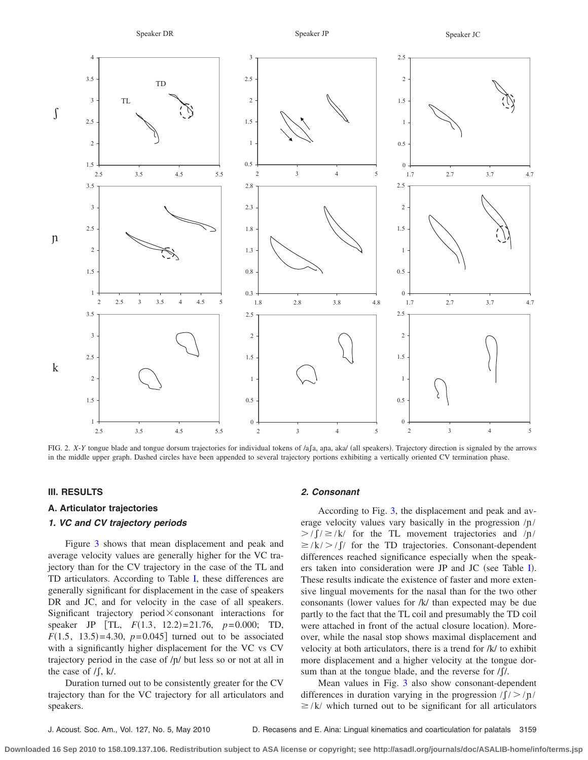<span id="page-5-0"></span>

FIG. 2. X-Y tongue blade and tongue dorsum trajectories for individual tokens of /afa, apa, aka/ (all speakers). Trajectory direction is signaled by the arrows in the middle upper graph. Dashed circles have been appended to several trajectory portions exhibiting a vertically oriented CV termination phase.

# **III. RESULTS**

#### **A. Articulator trajectories**

# *1. VC and CV trajectory periods*

Figure [3](#page-6-0) shows that mean displacement and peak and average velocity values are generally higher for the VC trajectory than for the CV trajectory in the case of the TL and TD articulators. According to Table [I,](#page-7-0) these differences are generally significant for displacement in the case of speakers DR and JC, and for velocity in the case of all speakers. Significant trajectory period $\times$  consonant interactions for speaker JP [TL,  $F(1.3, 12.2) = 21.76, p = 0.000; TD,$  $F(1.5, 13.5) = 4.30, p = 0.045$  turned out to be associated with a significantly higher displacement for the VC vs CV trajectory period in the case of  $/p/$  but less so or not at all in the case of  $/\int$ , k/.

Duration turned out to be consistently greater for the CV trajectory than for the VC trajectory for all articulators and speakers.

# *2. Consonant*

According to Fig. [3,](#page-6-0) the displacement and peak and average velocity values vary basically in the progression  $/p/$  $>$ / $\int$ / $\ge$ / $k$ / for the TL movement trajectories and / $\ln$ /  $\geq$  /k/  $>$  /  $\int$ / for the TD trajectories. Consonant-dependent differences reached significance especially when the speak-ers taken into consideration were JP and JC (see Table [I](#page-7-0)). These results indicate the existence of faster and more extensive lingual movements for the nasal than for the two other consonants (lower values for /k/ than expected may be due partly to the fact that the TL coil and presumably the TD coil were attached in front of the actual closure location). Moreover, while the nasal stop shows maximal displacement and velocity at both articulators, there is a trend for /k/ to exhibit more displacement and a higher velocity at the tongue dorsum than at the tongue blade, and the reverse for /ʃ/.

Mean values in Fig. [3](#page-6-0) also show consonant-dependent differences in duration varying in the progression  $\sqrt{f}$  / $\pi$ /  $\geq$ /k/ which turned out to be significant for all articulators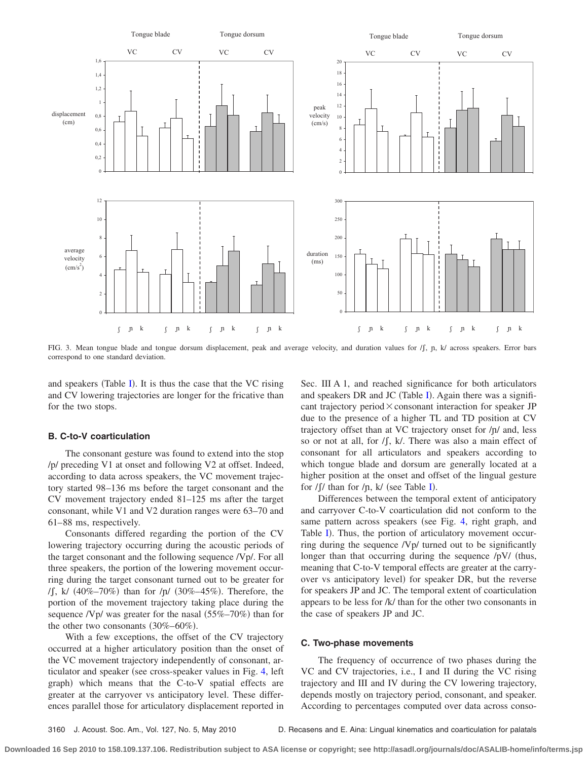<span id="page-6-0"></span>

FIG. 3. Mean tongue blade and tongue dorsum displacement, peak and average velocity, and duration values for /f, p, k/ across speakers. Error bars correspond to one standard deviation.

and speakers (Table [I](#page-7-0)). It is thus the case that the VC rising and CV lowering trajectories are longer for the fricative than for the two stops.

#### **B. C-to-V coarticulation**

The consonant gesture was found to extend into the stop /p/ preceding V1 at onset and following V2 at offset. Indeed, according to data across speakers, the VC movement trajectory started 98–136 ms before the target consonant and the CV movement trajectory ended 81–125 ms after the target consonant, while V1 and V2 duration ranges were 63–70 and 61–88 ms, respectively.

Consonants differed regarding the portion of the CV lowering trajectory occurring during the acoustic periods of the target consonant and the following sequence /Vp/. For all three speakers, the portion of the lowering movement occurring during the target consonant turned out to be greater for /f, k/  $(40\% - 70\%)$  than for /p/  $(30\% - 45\%)$ . Therefore, the portion of the movement trajectory taking place during the sequence  $Np$  was greater for the nasal  $(55\% - 70\%)$  than for the other two consonants  $(30\% - 60\%)$ .

With a few exceptions, the offset of the CV trajectory occurred at a higher articulatory position than the onset of the VC movement trajectory independently of consonant, ar-ticulator and speaker (see cross-speaker values in Fig. [4,](#page-8-0) left graph) which means that the C-to-V spatial effects are greater at the carryover vs anticipatory level. These differences parallel those for articulatory displacement reported in Sec. III A 1, and reached significance for both articulators and speakers DR and JC (Table [I](#page-7-0)). Again there was a significant trajectory period $\times$  consonant interaction for speaker JP due to the presence of a higher TL and TD position at CV trajectory offset than at VC trajectory onset for  $/\eta$  and, less so or not at all, for  $/\int$ , k/. There was also a main effect of consonant for all articulators and speakers according to which tongue blade and dorsum are generally located at a higher position at the onset and offset of the lingual gesture for  $/\int$  than for  $/\ln$ , k/ (see Table [I](#page-7-0)).

Differences between the temporal extent of anticipatory and carryover C-to-V coarticulation did not conform to the same pattern across speakers (see Fig. [4,](#page-8-0) right graph, and Table [I](#page-7-0)). Thus, the portion of articulatory movement occurring during the sequence /Vp/ turned out to be significantly longer than that occurring during the sequence  $/pV/(thus,$ meaning that C-to-V temporal effects are greater at the carryover vs anticipatory level) for speaker DR, but the reverse for speakers JP and JC. The temporal extent of coarticulation appears to be less for /k/ than for the other two consonants in the case of speakers JP and JC.

#### **C. Two-phase movements**

The frequency of occurrence of two phases during the VC and CV trajectories, i.e., I and II during the VC rising trajectory and III and IV during the CV lowering trajectory, depends mostly on trajectory period, consonant, and speaker. According to percentages computed over data across conso-

**Downloaded 16 Sep 2010 to 158.109.137.106. Redistribution subject to ASA license or copyright; see http://asadl.org/journals/doc/ASALIB-home/info/terms.jsp**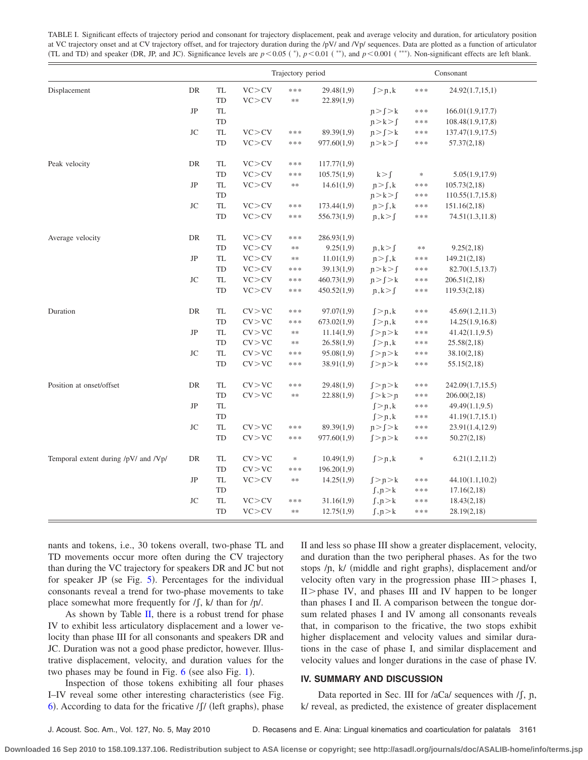<span id="page-7-0"></span>TABLE I. Significant effects of trajectory period and consonant for trajectory displacement, peak and average velocity and duration, for articulatory position at VC trajectory onset and at CV trajectory offset, and for trajectory duration during the /pV/ and /Vp/ sequences. Data are plotted as a function of articulator (TL and TD) and speaker (DR, JP, and JC). Significance levels are  $p < 0.05$  (\*),  $p < 0.01$  (\*\*), and  $p < 0.001$  (\*\*\*). Non-significant effects are left blank.

|                                      |           | Trajectory period |                    |                   |                          |                  | Consonant         |                   |  |
|--------------------------------------|-----------|-------------------|--------------------|-------------------|--------------------------|------------------|-------------------|-------------------|--|
| Displacement                         | DR        | TL<br>TD          | VC > CV<br>VC > CV | ***<br>$\ast\ast$ | 29.48(1,9)<br>22.89(1,9) | $\int$ > p, k    | $* * *$           | 24.92(1.7,15,1)   |  |
|                                      | $\rm{JP}$ | TL                |                    |                   |                          | p > f > k        | $\ast\ast\ast$    | 166.01(1.9,17.7)  |  |
|                                      |           | TD                |                    |                   |                          | p > k > f        | $* * *$           | 108.48(1.9,17,8)  |  |
|                                      | <b>JC</b> | TL                | VC > CV            | $* * *$           | 89.39(1,9)               | n > f > k        | $\ast\ast\ast$    | 137.47(1.9,17.5)  |  |
|                                      |           | TD                | VC > CV            | $* * *$           | 977.60(1,9)              | p > k > f        | $\ast\ast\ast$    | 57.37(2,18)       |  |
| Peak velocity                        | DR        | TL                | VC > CV            | $* * *$           | 117.77(1,9)              |                  |                   |                   |  |
|                                      |           | TD                | VC > CV            | $* * *$           | 105.75(1,9)              | k > f            | $\frac{1}{2} \xi$ | 5.05(1.9, 17.9)   |  |
|                                      | $\rm{JP}$ | TL                | VC > CV            | $\ast\ast$        | 14.61(1,9)               | $p > \int$ , k   | $\ast\ast\ast$    | 105.73(2,18)      |  |
|                                      |           | <b>TD</b>         |                    |                   |                          | p > k > f        | $\ast\ast\ast$    | 110.55(1.7, 15.8) |  |
|                                      | JC        | TL                | VC > CV            | $* * *$           | 173.44(1,9)              | p > f, k         | $* * *$           | 151.16(2,18)      |  |
|                                      |           | TD                | VC > CV            | $* * *$           | 556.73(1,9)              | p, k > f         | $\ast\ast\ast$    | 74.51(1.3, 11.8)  |  |
| Average velocity                     | DR        | TL                | VC > CV            | $* * *$           | 286.93(1,9)              |                  |                   |                   |  |
|                                      |           | TD                | VC > CV            | $\ast\ast$        | 9.25(1,9)                | p, k > f         | $\ast\ast$        | 9.25(2,18)        |  |
|                                      | $\rm JP$  | TL                | VC > CV            | $\ast\ast$        | 11.01(1,9)               | $p > \int$ , k   | $**$              | 149.21(2,18)      |  |
|                                      |           | TD                | VC > CV            | $* * *$           | 39.13(1,9)               | p > k > f        | $* * *$           | 82.70(1.5, 13.7)  |  |
|                                      | JC        | TL                | VC > CV            | $* * *$           | 460.73(1,9)              | n > f > k        | $* * *$           | 206.51(2,18)      |  |
|                                      |           | TD                | VC > CV            | $* * *$           | 450.52(1,9)              | p, k > f         | $**$              | 119.53(2,18)      |  |
| Duration                             | DR        | TL                | CV > VC            | $* * *$           | 97.07(1,9)               | $\int$ > p, k    | $\ast\ast\ast$    | 45.69(1.2, 11.3)  |  |
|                                      |           | TD                | CV > VC            | $* * *$           | 673.02(1,9)              | $\int$ > p, k    | $**$              | 14.25(1.9,16.8)   |  |
|                                      | JP        | TL                | CV > VC            | $\ast$            | 11.14(1,9)               | $\int$ > $p$ > k | $* * *$           | 41.42(1.1, 9.5)   |  |
|                                      |           | TD                | CV > VC            | $\ast$            | 26.58(1,9)               | $\int$ > p, k    | $\ast\ast\ast$    | 25.58(2,18)       |  |
|                                      | <b>JC</b> | TL                | CV > VC            | $* * *$           | 95.08(1,9)               | $\int$ > $p$ > k | $\ast\ast\ast$    | 38.10(2,18)       |  |
|                                      |           | TD                | CV > VC            | $* * *$           | 38.91(1,9)               | $\int$ > $p$ > k | $\ast\ast\ast$    | 55.15(2,18)       |  |
| Position at onset/offset             | <b>DR</b> | TL                | CV > VC            | $* * *$           | 29.48(1,9)               | $\int$ > $p$ > k | $* * *$           | 242.09(1.7,15.5)  |  |
|                                      |           | TD                | CV > VC            | $*\ast$           | 22.88(1,9)               | $\int$ > k > n   | $\ast\ast\ast$    | 206.00(2,18)      |  |
|                                      | JP        | TL                |                    |                   |                          | $\int$ > $p, k$  | $*\ast\ast$       | 49.49(1.1, 9.5)   |  |
|                                      |           | <b>TD</b>         |                    |                   |                          | $\int$ > p, k    | $\ast\ast\ast$    | 41.19(1.7, 15.1)  |  |
|                                      | <b>JC</b> | TL                | CV > VC            | $**$              | 89.39(1,9)               | p > f > k        | $\ast\ast\ast$    | 23.91(1.4,12.9)   |  |
|                                      |           | TD                | CV > VC            | $* * *$           | 977.60(1,9)              | $\int$ > $p$ > k | $* * *$           | 50.27(2,18)       |  |
| Temporal extent during /pV/ and /Vp/ | DR        | TL                | CV > VC            | $\ast$            | 10.49(1,9)               | $\int$ > p, k    | $\frac{1}{2} \xi$ | 6.21(1.2, 11.2)   |  |
|                                      |           | TD                | CV > VC            | $**$              | 196.20(1,9)              |                  |                   |                   |  |
|                                      | JP        | TL                | VC > CV            | $**$              | 14.25(1,9)               | $\int$ > $p$ > k | $* * *$           | 44.10(1.1, 10.2)  |  |
|                                      |           | TD                |                    |                   |                          | $\int$ , $p > k$ | $** *$            | 17.16(2,18)       |  |
|                                      | JC        | TL                | VC > CV            | $* * *$           | 31.16(1,9)               | $\int$ , $p > k$ | $\ast \ast \ast$  | 18.43(2,18)       |  |
|                                      |           | <b>TD</b>         | VC > CV            | **                | 12.75(1,9)               | $\int$ , $p > k$ | $*\ast\ast$       | 28.19(2,18)       |  |

nants and tokens, i.e., 30 tokens overall, two-phase TL and TD movements occur more often during the CV trajectory than during the VC trajectory for speakers DR and JC but not for speaker JP (se Fig. [5](#page-8-1)). Percentages for the individual consonants reveal a trend for two-phase movements to take place somewhat more frequently for  $/\int$ , k/ than for  $/\ln$ .

As shown by Table  $II$ , there is a robust trend for phase IV to exhibit less articulatory displacement and a lower velocity than phase III for all consonants and speakers DR and JC. Duration was not a good phase predictor, however. Illustrative displacement, velocity, and duration values for the two phases may be found in Fig.  $6$  (see also Fig. [1](#page-4-0)).

Inspection of those tokens exhibiting all four phases I–IV reveal some other interesting characteristics (see Fig. [6](#page-9-0)). According to data for the fricative  $\int$  (left graphs), phase

II and less so phase III show a greater displacement, velocity, and duration than the two peripheral phases. As for the two stops /p, k/ (middle and right graphs), displacement and/or velocity often vary in the progression phase  $III$  > phases I,  $II$  > phase IV, and phases III and IV happen to be longer than phases I and II. A comparison between the tongue dorsum related phases I and IV among all consonants reveals that, in comparison to the fricative, the two stops exhibit higher displacement and velocity values and similar durations in the case of phase I, and similar displacement and velocity values and longer durations in the case of phase IV.

# **IV. SUMMARY AND DISCUSSION**

Data reported in Sec. III for /aCa/ sequences with / $\int$ ,  $p$ , k/ reveal, as predicted, the existence of greater displacement

**Downloaded 16 Sep 2010 to 158.109.137.106. Redistribution subject to ASA license or copyright; see http://asadl.org/journals/doc/ASALIB-home/info/terms.jsp**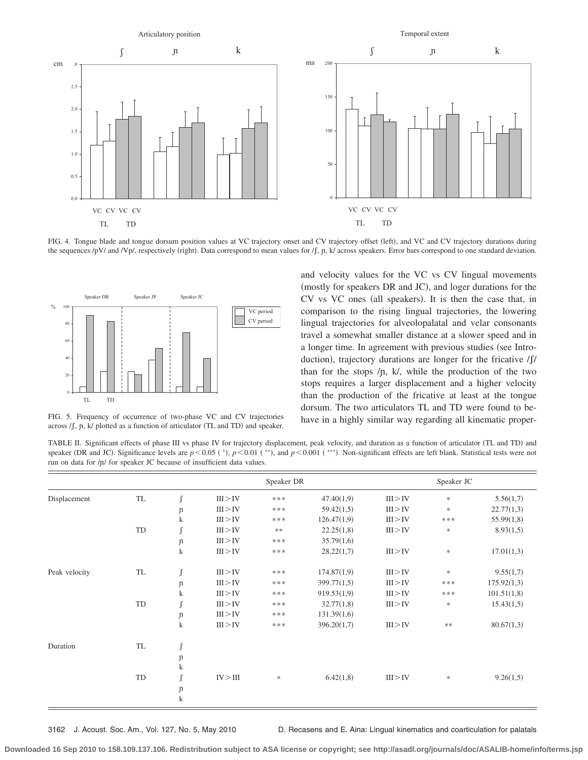<span id="page-8-0"></span>

FIG. 4. Tongue blade and tongue dorsum position values at VC trajectory onset and CV trajectory offset (left), and VC and CV trajectory durations during the sequences /pV/ and /Vp/, respectively (right). Data correspond to mean values for /ʃ, p, k/ across speakers. Error bars correspond to one standard deviation.

<span id="page-8-1"></span>

FIG. 5. Frequency of occurrence of two-phase VC and CV trajectories across / f, p, k/ plotted as a function of articulator (TL and TD) and speaker.

and velocity values for the VC vs CV lingual movements (mostly for speakers DR and JC), and loger durations for the CV vs VC ones (all speakers). It is then the case that, in comparison to the rising lingual trajectories, the lowering lingual trajectories for alveolopalatal and velar consonants travel a somewhat smaller distance at a slower speed and in a longer time. In agreement with previous studies (see Introduction), trajectory durations are longer for the fricative /ʃ/ than for the stops  $/p$ , k/, while the production of the two stops requires a larger displacement and a higher velocity than the production of the fricative at least at the tongue dorsum. The two articulators TL and TD were found to behave in a highly similar way regarding all kinematic proper-

<span id="page-8-2"></span>TABLE II. Significant effects of phase III vs phase IV for trajectory displacement, peak velocity, and duration as a function of articulator (TL and TD) and speaker (DR and JC). Significance levels are  $p < 0.05$  (\*),  $p < 0.01$  (\*\*), and  $p < 0.001$  (\*\*\*). Non-significant effects are left blank. Statistical tests were not run on data for /p/ for speaker JC because of insufficient data values.

|               |    |                   |          | Speaker DR     |             | Speaker JC |                   |             |
|---------------|----|-------------------|----------|----------------|-------------|------------|-------------------|-------------|
| Displacement  | TL |                   | III > IV | $* * *$        | 47.40(1,9)  | III > IV   | $\frac{1}{2} \xi$ | 5.56(1,7)   |
|               |    | $\mathbf{n}$      | III > IV | ***            | 59.42(1,5)  | III > IV   | $\frac{1}{2} \xi$ | 22.77(1,3)  |
|               |    | k                 | III > IV | $\ast\ast\ast$ | 126.47(1,9) | III > IV   | $\ast\ast\ast$    | 55.99(1,8)  |
|               | TD |                   | III > IV | $\ast\ast$     | 22.25(1,8)  | III > IV   | $\frac{1}{2} \xi$ | 8.93(1,5)   |
|               |    | $\, {\rm n}$      | III > IV | ***            | 35.79(1,6)  |            |                   |             |
|               |    | $\mathbf k$       | III > IV | ***            | 28.22(1,7)  | III > IV   | $\frac{1}{2} \xi$ | 17.01(1,3)  |
| Peak velocity | TL | J                 | III > IV | $\ast\ast\ast$ | 174.87(1,9) | III > IV   | $\frac{1}{2} \xi$ | 9.55(1,7)   |
|               |    | $\,$ $\,$ $\,$    | III > IV | $\ast\ast\ast$ | 399.77(1,5) | III > IV   | $* * *$           | 175.92(1,3) |
|               |    | $\mathbf k$       | III > IV | $\ast\ast\ast$ | 919.53(1,9) | III > IV   | $* * *$           | 101.51(1,8) |
|               | TD |                   | III > IV | ***            | 32.77(1,8)  | III > IV   | $\frac{1}{2} \xi$ | 15.43(1,5)  |
|               |    | $\,$ $\,$ $\,$    | III > IV | ***            | 131.39(1,6) |            |                   |             |
|               |    | $\mathbf k$       | III > IV | $\ast\ast\ast$ | 396.20(1,7) | III > IV   | $\ast\ast$        | 80.67(1,3)  |
| Duration      | TL | $\mathbf{r}$<br>J |          |                |             |            |                   |             |
|               |    | Jı                |          |                |             |            |                   |             |
|               |    | $\mathbf k$       |          |                |             |            |                   |             |
|               | TD |                   | IV > III | $\frac{1}{2}$  | 6.42(1,8)   | III > IV   | $\ast$            | 9.26(1,5)   |
|               |    | Jı                |          |                |             |            |                   |             |
|               |    | $\mathbf k$       |          |                |             |            |                   |             |

3162 J. Acoust. Soc. Am., Vol. 127, No. 5, May 2010 D. Recasens and E. Aina: Lingual kinematics and coarticulation for palatals

**Downloaded 16 Sep 2010 to 158.109.137.106. Redistribution subject to ASA license or copyright; see http://asadl.org/journals/doc/ASALIB-home/info/terms.jsp**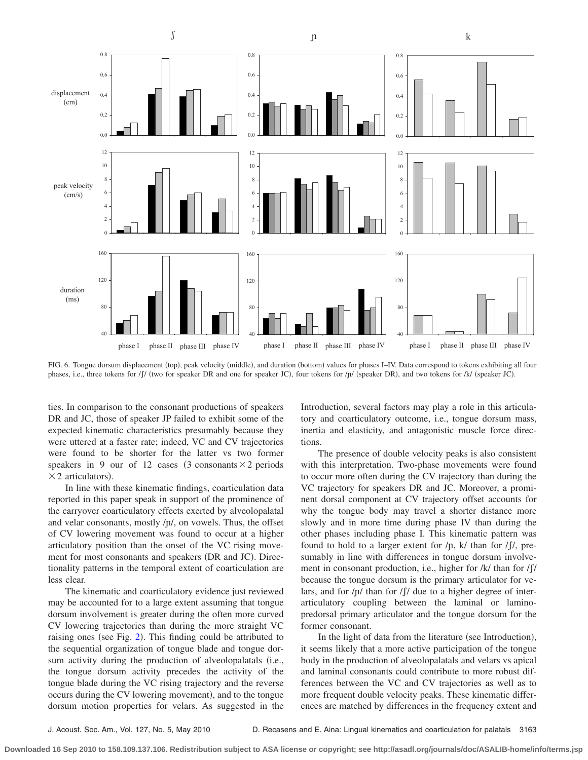<span id="page-9-0"></span>

FIG. 6. Tongue dorsum displacement (top), peak velocity (middle), and duration (bottom) values for phases I–IV. Data correspond to tokens exhibiting all four phases, i.e., three tokens for /f/ (two for speaker DR and one for speaker JC), four tokens for /p/ (speaker DR), and two tokens for /k/ (speaker JC).

ties. In comparison to the consonant productions of speakers DR and JC, those of speaker JP failed to exhibit some of the expected kinematic characteristics presumably because they were uttered at a faster rate; indeed, VC and CV trajectories were found to be shorter for the latter vs two former speakers in 9 our of 12 cases  $(3 \text{ consonants} \times 2 \text{ periods})$  $\times$  2 articulators).

In line with these kinematic findings, coarticulation data reported in this paper speak in support of the prominence of the carryover coarticulatory effects exerted by alveolopalatal and velar consonants, mostly  $/p/$ , on vowels. Thus, the offset of CV lowering movement was found to occur at a higher articulatory position than the onset of the VC rising movement for most consonants and speakers (DR and JC). Directionality patterns in the temporal extent of coarticulation are less clear.

The kinematic and coarticulatory evidence just reviewed may be accounted for to a large extent assuming that tongue dorsum involvement is greater during the often more curved CV lowering trajectories than during the more straight VC raising ones (see Fig. [2](#page-5-0)). This finding could be attributed to the sequential organization of tongue blade and tongue dorsum activity during the production of alveolopalatals (i.e., the tongue dorsum activity precedes the activity of the tongue blade during the VC rising trajectory and the reverse occurs during the CV lowering movement), and to the tongue dorsum motion properties for velars. As suggested in the Introduction, several factors may play a role in this articulatory and coarticulatory outcome, i.e., tongue dorsum mass, inertia and elasticity, and antagonistic muscle force directions.

The presence of double velocity peaks is also consistent with this interpretation. Two-phase movements were found to occur more often during the CV trajectory than during the VC trajectory for speakers DR and JC. Moreover, a prominent dorsal component at CV trajectory offset accounts for why the tongue body may travel a shorter distance more slowly and in more time during phase IV than during the other phases including phase I. This kinematic pattern was found to hold to a larger extent for  $/p$ , k/ than for  $/f$ , presumably in line with differences in tongue dorsum involvement in consonant production, i.e., higher for /k/ than for /ʃ/ because the tongue dorsum is the primary articulator for velars, and for  $/p/$  than for  $/f/$  due to a higher degree of interarticulatory coupling between the laminal or laminopredorsal primary articulator and the tongue dorsum for the former consonant.

In the light of data from the literature (see Introduction), it seems likely that a more active participation of the tongue body in the production of alveolopalatals and velars vs apical and laminal consonants could contribute to more robust differences between the VC and CV trajectories as well as to more frequent double velocity peaks. These kinematic differences are matched by differences in the frequency extent and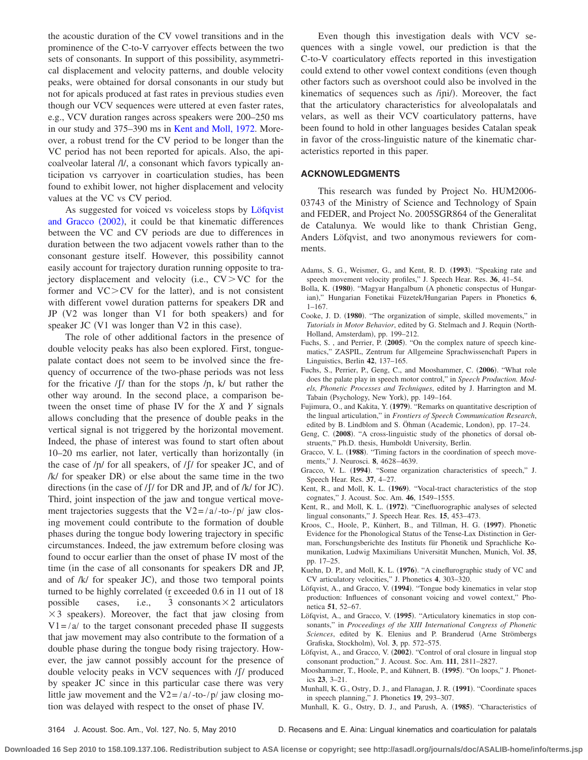the acoustic duration of the CV vowel transitions and in the prominence of the C-to-V carryover effects between the two sets of consonants. In support of this possibility, asymmetrical displacement and velocity patterns, and double velocity peaks, were obtained for dorsal consonants in our study but not for apicals produced at fast rates in previous studies even though our VCV sequences were uttered at even faster rates, e.g., VCV duration ranges across speakers were 200–250 ms in our study and 375–390 ms in [Kent and Moll, 1972.](#page-10-7) Moreover, a robust trend for the CV period to be longer than the VC period has not been reported for apicals. Also, the apicoalveolar lateral /l/, a consonant which favors typically anticipation vs carryover in coarticulation studies, has been found to exhibit lower, not higher displacement and velocity values at the VC vs CV period.

As suggested for voiced vs voiceless stops by [Löfqvist](#page-10-11) [and Gracco](#page-10-11) (2002), it could be that kinematic differences between the VC and CV periods are due to differences in duration between the two adjacent vowels rather than to the consonant gesture itself. However, this possibility cannot easily account for trajectory duration running opposite to trajectory displacement and velocity (i.e.,  $CV > VC$  for the former and  $VC > CV$  for the latter), and is not consistent with different vowel duration patterns for speakers DR and JP (V2 was longer than V1 for both speakers) and for speaker JC (V1 was longer than V2 in this case).

The role of other additional factors in the presence of double velocity peaks has also been explored. First, tonguepalate contact does not seem to be involved since the frequency of occurrence of the two-phase periods was not less for the fricative  $\int \int f \tan f$  for the stops  $\ln f$ , k but rather the other way around. In the second place, a comparison between the onset time of phase IV for the *X* and *Y* signals allows concluding that the presence of double peaks in the vertical signal is not triggered by the horizontal movement. Indeed, the phase of interest was found to start often about 10–20 ms earlier, not later, vertically than horizontally (in the case of  $/p/$  for all speakers, of  $/f/$  for speaker JC, and of /k/ for speaker DR) or else about the same time in the two directions (in the case of / $\int$ / for DR and JP, and of /k/ for JC). Third, joint inspection of the jaw and tongue vertical movement trajectories suggests that the  $V2 = /a/ -to -/p/$  jaw closing movement could contribute to the formation of double phases during the tongue body lowering trajectory in specific circumstances. Indeed, the jaw extremum before closing was found to occur earlier than the onset of phase IV most of the time (in the case of all consonants for speakers DR and JP, and of /k/ for speaker JC), and those two temporal points turned to be highly correlated  $(r$  exceeded 0.6 in 11 out of 18 possible cases, i.e., 3 consonants  $\times$  2 articulators  $\times$  3 speakers). Moreover, the fact that jaw closing from  $V1 = /a/$  to the target consonant preceded phase II suggests that jaw movement may also contribute to the formation of a double phase during the tongue body rising trajectory. However, the jaw cannot possibly account for the presence of double velocity peaks in VCV sequences with /ʃ/ produced by speaker JC since in this particular case there was very little jaw movement and the  $V2 = /a/ -to -/p/$  jaw closing motion was delayed with respect to the onset of phase IV.

Even though this investigation deals with VCV sequences with a single vowel, our prediction is that the C-to-V coarticulatory effects reported in this investigation could extend to other vowel context conditions (even though other factors such as overshoot could also be involved in the kinematics of sequences such as /ipi/). Moreover, the fact that the articulatory characteristics for alveolopalatals and velars, as well as their VCV coarticulatory patterns, have been found to hold in other languages besides Catalan speak in favor of the cross-linguistic nature of the kinematic characteristics reported in this paper.

## **ACKNOWLEDGMENTS**

This research was funded by Project No. HUM2006- 03743 of the Ministry of Science and Technology of Spain and FEDER, and Project No. 2005SGR864 of the Generalitat de Catalunya. We would like to thank Christian Geng, Anders Löfqvist, and two anonymous reviewers for comments.

- <span id="page-10-15"></span>Adams, S. G., Weismer, G., and Kent, R. D. (1993). "Speaking rate and speech movement velocity profiles," J. Speech Hear. Res. **36**, 41–54.
- <span id="page-10-0"></span>Bolla, K. (1980). "Magyar Hangalbum (A phonetic conspectus of Hungarian)," Hungarian Fonetikai Füzetek/Hungarian Papers in Phonetics 6, 1–167.
- <span id="page-10-9"></span>Cooke, J. D. (1980). "The organization of simple, skilled movements," in *Tutorials in Motor Behavior*, edited by G. Stelmach and J. Requin (North-Holland, Amsterdam), pp. 199-212.
- <span id="page-10-17"></span>Fuchs, S., and Perrier, P. (2005). "On the complex nature of speech kinematics," ZASPIL, Zentrum fur Allgemeine Sprachwissenchaft Papers in Linguistics, Berlin **42**, 137–165.
- <span id="page-10-5"></span>Fuchs, S., Perrier, P., Geng, C., and Mooshammer, C. (2006). "What role does the palate play in speech motor control," in *Speech Production. Models, Phonetic Processes and Techniques*, edited by J. Harrington and M. Tabain (Psychology, New York), pp. 149-164.
- <span id="page-10-18"></span>Fujimura, O., and Kakita, Y. (1979). "Remarks on quantitative description of the lingual articulation," in *Frontiers of Speech Communication Research*, edited by B. Lindblom and S. Öhman (Academic, London), pp. 17-24.
- <span id="page-10-3"></span>Geng, C. (2008). "A cross-linguistic study of the phonetics of dorsal obstruents," Ph.D. thesis, Humboldt University, Berlin.
- <span id="page-10-1"></span>Gracco, V. L. (1988). "Timing factors in the coordination of speech movements," J. Neurosci. **8**, 4628–4639.
- <span id="page-10-2"></span>Gracco, V. L. (1994). "Some organization characteristics of speech," J. Speech Hear. Res. **37**, 4–27.
- <span id="page-10-12"></span>Kent, R., and Moll, K. L. (1969). "Vocal-tract characteristics of the stop cognates," J. Acoust. Soc. Am. **46**, 1549–1555.
- <span id="page-10-7"></span>Kent, R., and Moll, K. L. (1972). "Cinefluorographic analyses of selected lingual consonants," J. Speech Hear. Res. **15**, 453–473.
- <span id="page-10-16"></span>Kroos, C., Hoole, P., Künhert, B., and Tillman, H. G. (1997). Phonetic Evidence for the Phonological Status of the Tense-Lax Distinction in German, Forschungsberichte des Instituts für Phonetik und Sprachliche Komunikation, Ludwig Maximilians Universität Munchen, Munich, Vol. **35**, pp. 17–25.
- <span id="page-10-8"></span>Kuehn, D. P., and Moll, K. L. (1976). "A cineflurographic study of VC and CV articulatory velocities," J. Phonetics **4**, 303–320.
- <span id="page-10-6"></span>Löfqvist, A., and Gracco, V. (1994). "Tongue body kinematics in velar stop production: Influences of consonant voicing and vowel context," Phonetica **51**, 52–67.
- <span id="page-10-4"></span>Löfqvist, A., and Gracco, V. (1995). "Articulatory kinematics in stop consonants," in *Proceedings of the XIII International Congress of Phonetic* Sciences, edited by K. Elenius and P. Branderud (Arne Strömbergs Grafiska, Stockholm), Vol. 3, pp. 572-575.
- <span id="page-10-11"></span>Löfqvist, A., and Gracco, V. (2002). "Control of oral closure in lingual stop consonant production," J. Acoust. Soc. Am. **111**, 2811–2827.
- <span id="page-10-13"></span>Mooshammer, T., Hoole, P., and Kühnert, B. (1995). "On loops," J. Phonetics **23**, 3–21.
- <span id="page-10-14"></span>Munhall, K. G., Ostry, D. J., and Flanagan, J. R. (1991). "Coordinate spaces in speech planning," J. Phonetics **19**, 293–307.
- <span id="page-10-10"></span>Munhall, K. G., Ostry, D. J., and Parush, A. (1985). "Characteristics of

**Downloaded 16 Sep 2010 to 158.109.137.106. Redistribution subject to ASA license or copyright; see http://asadl.org/journals/doc/ASALIB-home/info/terms.jsp**